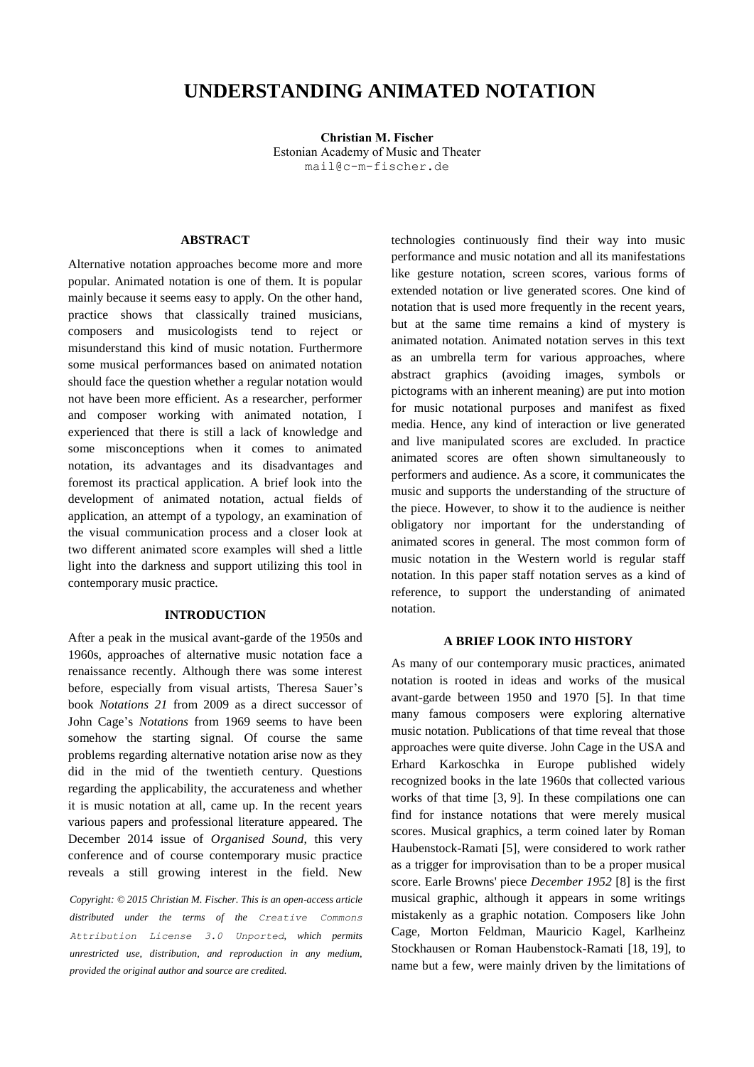# **UNDERSTANDING ANIMATED NOTATION**

**First author Christian M. Fischer** Estonian Academy of Music and Theater [mail@c-m-fischer.de](mailto:mail@c-m-fischer.de)

# **ABSTRACT**

Alternative notation approaches become more and more popular. Animated notation is one of them. It is popular mainly because it seems easy to apply. On the other hand, practice shows that classically trained musicians, composers and musicologists tend to reject or misunderstand this kind of music notation. Furthermore some musical performances based on animated notation should face the question whether a regular notation would not have been more efficient. As a researcher, performer and composer working with animated notation, I experienced that there is still a lack of knowledge and some misconceptions when it comes to animated notation, its advantages and its disadvantages and foremost its practical application. A brief look into the development of animated notation, actual fields of application, an attempt of a typology, an examination of the visual communication process and a closer look at two different animated score examples will shed a little light into the darkness and support utilizing this tool in contemporary music practice.

## **INTRODUCTION**

After a peak in the musical avant-garde of the 1950s and 1960s, approaches of alternative music notation face a renaissance recently. Although there was some interest before, especially from visual artists, Theresa Sauer's book *Notations 21* from 2009 as a direct successor of John Cage's *Notations* from 1969 seems to have been somehow the starting signal. Of course the same problems regarding alternative notation arise now as they did in the mid of the twentieth century. Questions regarding the applicability, the accurateness and whether it is music notation at all, came up. In the recent years various papers and professional literature appeared. The December 2014 issue of *Organised Sound*, this very conference and of course contemporary music practice reveals a still growing interest in the field. New

*Copyright: © 2015 Christian M. Fischer. This is an open-access article distributed under the terms of the [Creative Commons](http://creativecommons.org/licenses/by/3.0/)  [Attribution License 3.0 Unported](http://creativecommons.org/licenses/by/3.0/), which permits unrestricted use, distribution, and reproduction in any medium, provided the original author and source are credited.*

technologies continuously find their way into music performance and music notation and all its manifestations like gesture notation, screen scores, various forms of extended notation or live generated scores. One kind of notation that is used more frequently in the recent years, but at the same time remains a kind of mystery is animated notation. Animated notation serves in this text as an umbrella term for various approaches, where abstract graphics (avoiding images, symbols or pictograms with an inherent meaning) are put into motion for music notational purposes and manifest as fixed media. Hence, any kind of interaction or live generated and live manipulated scores are excluded. In practice animated scores are often shown simultaneously to performers and audience. As a score, it communicates the music and supports the understanding of the structure of the piece. However, to show it to the audience is neither obligatory nor important for the understanding of animated scores in general. The most common form of music notation in the Western world is regular staff notation. In this paper staff notation serves as a kind of reference, to support the understanding of animated notation.

## **A BRIEF LOOK INTO HISTORY**

As many of our contemporary music practices, animated notation is rooted in ideas and works of the musical avant-garde between 1950 and 1970 [5]. In that time many famous composers were exploring alternative music notation. Publications of that time reveal that those approaches were quite diverse. John Cage in the USA and Erhard Karkoschka in Europe published widely recognized books in the late 1960s that collected various works of that time [3, 9]. In these compilations one can find for instance notations that were merely musical scores. Musical graphics, a term coined later by Roman Haubenstock-Ramati [5], were considered to work rather as a trigger for improvisation than to be a proper musical score. Earle Browns' piece *December 1952* [8] is the first musical graphic, although it appears in some writings mistakenly as a graphic notation. Composers like John Cage, Morton Feldman, Mauricio Kagel, Karlheinz Stockhausen or Roman Haubenstock-Ramati [18, 19], to name but a few, were mainly driven by the limitations of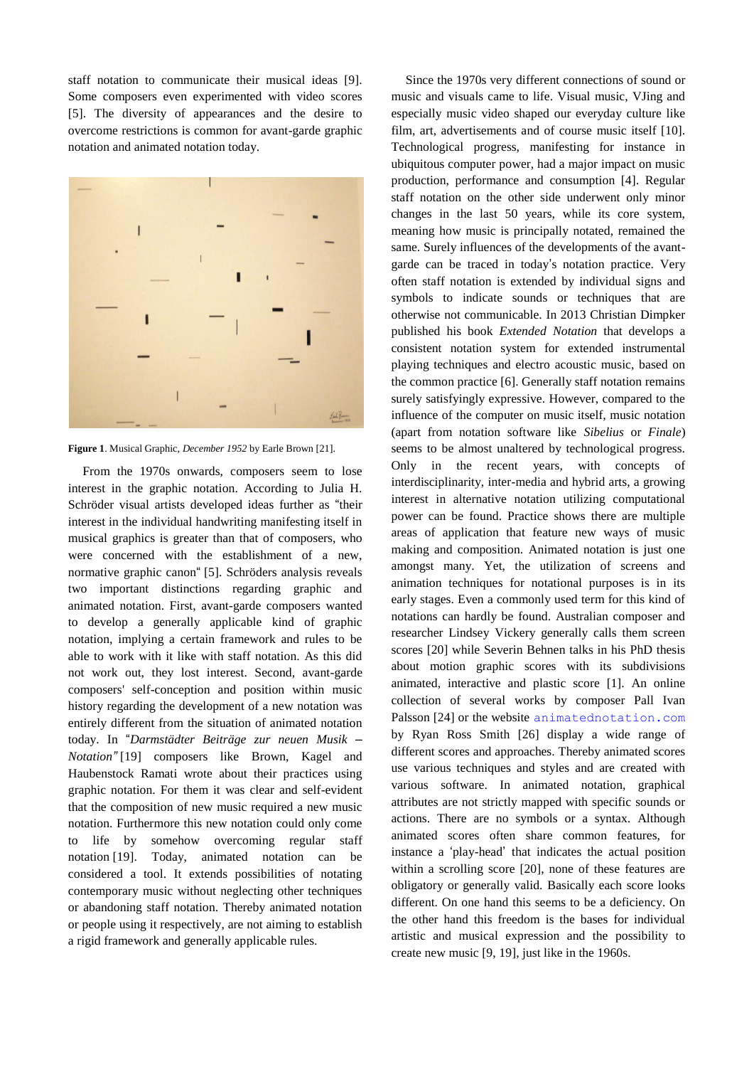staff notation to communicate their musical ideas [9]. Some composers even experimented with video scores [5]. The diversity of appearances and the desire to overcome restrictions is common for avant-garde graphic notation and animated notation today.



**Figure 1**. Musical Graphic, *December 1952* by Earle Brown [21].

From the 1970s onwards, composers seem to lose interest in the graphic notation. According to Julia H. Schröder visual artists developed ideas further as "their interest in the individual handwriting manifesting itself in musical graphics is greater than that of composers, who were concerned with the establishment of a new, normative graphic canon" [5]. Schröders analysis reveals two important distinctions regarding graphic and animated notation. First, avant-garde composers wanted to develop a generally applicable kind of graphic notation, implying a certain framework and rules to be able to work with it like with staff notation. As this did not work out, they lost interest. Second, avant-garde composers' self-conception and position within music history regarding the development of a new notation was entirely different from the situation of animated notation today. In "*Darmstädter Beiträge zur neuen Musik – Notation"* [19] composers like Brown, Kagel and Haubenstock Ramati wrote about their practices using graphic notation. For them it was clear and self-evident that the composition of new music required a new music notation. Furthermore this new notation could only come to life by somehow overcoming regular staff notation [19]. Today, animated notation can be considered a tool. It extends possibilities of notating contemporary music without neglecting other techniques or abandoning staff notation. Thereby animated notation or people using it respectively, are not aiming to establish a rigid framework and generally applicable rules.

Since the 1970s very different connections of sound or music and visuals came to life. Visual music, VJing and especially music video shaped our everyday culture like film, art, advertisements and of course music itself [10]. Technological progress, manifesting for instance in ubiquitous computer power, had a major impact on music production, performance and consumption [4]. Regular staff notation on the other side underwent only minor changes in the last 50 years, while its core system, meaning how music is principally notated, remained the same. Surely influences of the developments of the avantgarde can be traced in today's notation practice. Very often staff notation is extended by individual signs and symbols to indicate sounds or techniques that are otherwise not communicable. In 2013 Christian Dimpker published his book *Extended Notation* that develops a consistent notation system for extended instrumental playing techniques and electro acoustic music, based on the common practice [6]. Generally staff notation remains surely satisfyingly expressive. However, compared to the influence of the computer on music itself, music notation (apart from notation software like *Sibelius* or *Finale*) seems to be almost unaltered by technological progress. Only in the recent years, with concepts of interdisciplinarity, inter-media and hybrid arts, a growing interest in alternative notation utilizing computational power can be found. Practice shows there are multiple areas of application that feature new ways of music making and composition. Animated notation is just one amongst many. Yet, the utilization of screens and animation techniques for notational purposes is in its early stages. Even a commonly used term for this kind of notations can hardly be found. Australian composer and researcher Lindsey Vickery generally calls them screen scores [20] while Severin Behnen talks in his PhD thesis about motion graphic scores with its subdivisions animated, interactive and plastic score [1]. An online collection of several works by composer Pall Ivan Palsson [24] or the website [animatednotation.com](file:///C:/Users/julie/Desktop/Nico/TENOR2015/Originaux/21-Fischer/animatednotation.com) by Ryan Ross Smith [26] display a wide range of different scores and approaches. Thereby animated scores use various techniques and styles and are created with various software. In animated notation, graphical attributes are not strictly mapped with specific sounds or actions. There are no symbols or a syntax. Although animated scores often share common features, for instance a 'play-head' that indicates the actual position within a scrolling score [20], none of these features are obligatory or generally valid. Basically each score looks different. On one hand this seems to be a deficiency. On the other hand this freedom is the bases for individual artistic and musical expression and the possibility to create new music [9, 19], just like in the 1960s.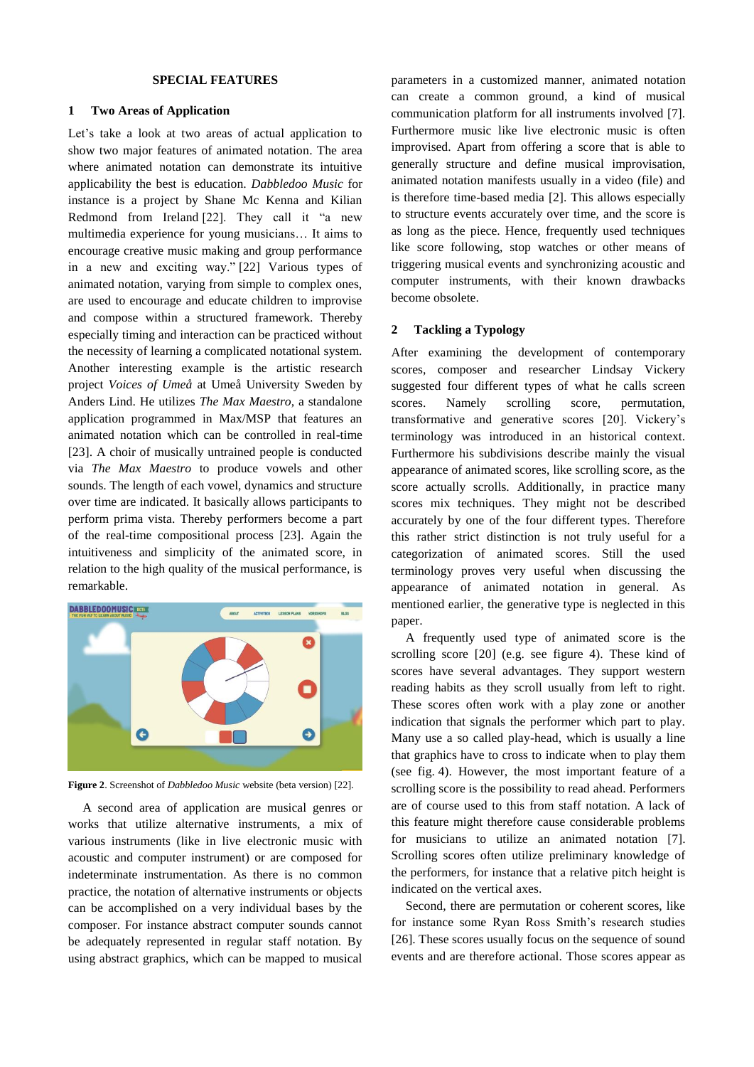# **SPECIAL FEATURES**

## **1 Two Areas of Application**

Let's take a look at two areas of actual application to show two major features of animated notation. The area where animated notation can demonstrate its intuitive applicability the best is education. *Dabbledoo Music* for instance is a project by Shane Mc Kenna and Kilian Redmond from Ireland [22]. They call it "a new multimedia experience for young musicians… It aims to encourage creative music making and group performance in a new and exciting way." [22] Various types of animated notation, varying from simple to complex ones, are used to encourage and educate children to improvise and compose within a structured framework. Thereby especially timing and interaction can be practiced without the necessity of learning a complicated notational system. Another interesting example is the artistic research project *Voices of Umeå* at Umeå University Sweden by Anders Lind. He utilizes *The Max Maestro*, a standalone application programmed in Max/MSP that features an animated notation which can be controlled in real-time [23]. A choir of musically untrained people is conducted via *The Max Maestro* to produce vowels and other sounds. The length of each vowel, dynamics and structure over time are indicated. It basically allows participants to perform prima vista. Thereby performers become a part of the real-time compositional process [23]. Again the intuitiveness and simplicity of the animated score, in relation to the high quality of the musical performance, is remarkable.



**Figure 2**. Screenshot of *Dabbledoo Music* website (beta version) [22].

A second area of application are musical genres or works that utilize alternative instruments, a mix of various instruments (like in live electronic music with acoustic and computer instrument) or are composed for indeterminate instrumentation. As there is no common practice, the notation of alternative instruments or objects can be accomplished on a very individual bases by the composer. For instance abstract computer sounds cannot be adequately represented in regular staff notation. By using abstract graphics, which can be mapped to musical parameters in a customized manner, animated notation can create a common ground, a kind of musical communication platform for all instruments involved [7]. Furthermore music like live electronic music is often improvised. Apart from offering a score that is able to generally structure and define musical improvisation, animated notation manifests usually in a video (file) and is therefore time-based media [2]. This allows especially to structure events accurately over time, and the score is as long as the piece. Hence, frequently used techniques like score following, stop watches or other means of triggering musical events and synchronizing acoustic and computer instruments, with their known drawbacks become obsolete.

# **2 Tackling a Typology**

After examining the development of contemporary scores, composer and researcher Lindsay Vickery suggested four different types of what he calls screen scores. Namely scrolling score, permutation, transformative and generative scores [20]. Vickery's terminology was introduced in an historical context. Furthermore his subdivisions describe mainly the visual appearance of animated scores, like scrolling score, as the score actually scrolls. Additionally, in practice many scores mix techniques. They might not be described accurately by one of the four different types. Therefore this rather strict distinction is not truly useful for a categorization of animated scores. Still the used terminology proves very useful when discussing the appearance of animated notation in general. As mentioned earlier, the generative type is neglected in this paper.

A frequently used type of animated score is the scrolling score [20] (e.g. see figure 4). These kind of scores have several advantages. They support western reading habits as they scroll usually from left to right. These scores often work with a play zone or another indication that signals the performer which part to play. Many use a so called play-head, which is usually a line that graphics have to cross to indicate when to play them (see fig. 4). However, the most important feature of a scrolling score is the possibility to read ahead. Performers are of course used to this from staff notation. A lack of this feature might therefore cause considerable problems for musicians to utilize an animated notation [7]. Scrolling scores often utilize preliminary knowledge of the performers, for instance that a relative pitch height is indicated on the vertical axes.

Second, there are permutation or coherent scores, like for instance some Ryan Ross Smith's research studies [26]. These scores usually focus on the sequence of sound events and are therefore actional. Those scores appear as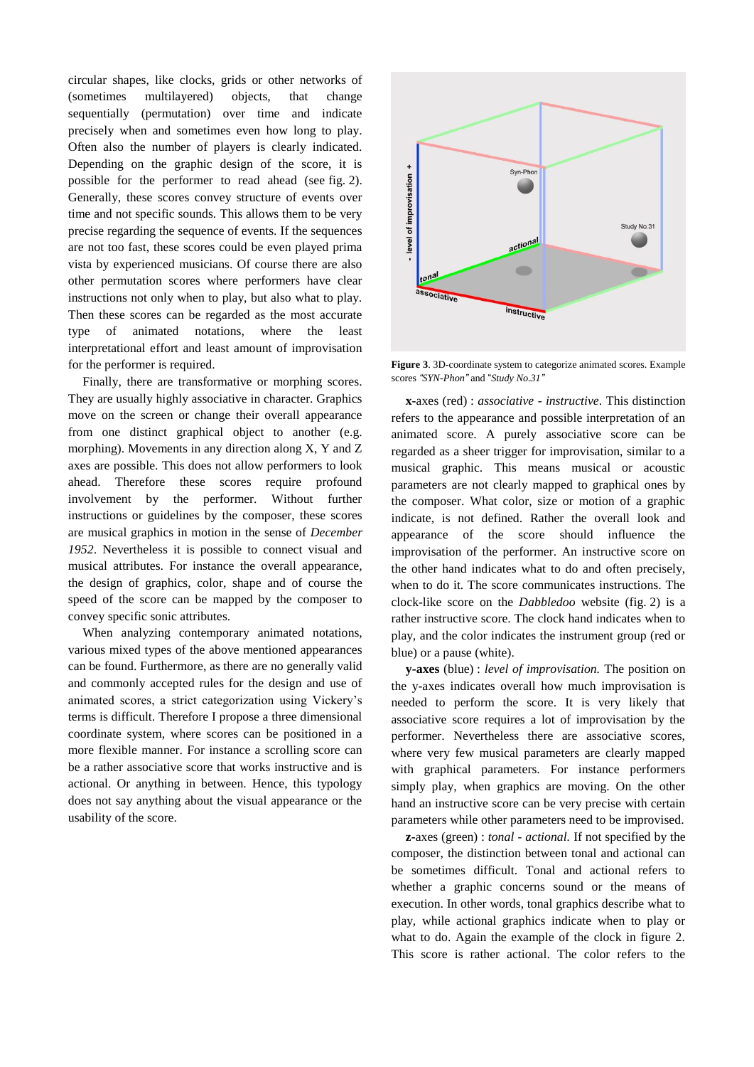circular shapes, like clocks, grids or other networks of (sometimes multilayered) objects, that change sequentially (permutation) over time and indicate precisely when and sometimes even how long to play. Often also the number of players is clearly indicated. Depending on the graphic design of the score, it is possible for the performer to read ahead (see fig. 2). Generally, these scores convey structure of events over time and not specific sounds. This allows them to be very precise regarding the sequence of events. If the sequences are not too fast, these scores could be even played prima vista by experienced musicians. Of course there are also other permutation scores where performers have clear instructions not only when to play, but also what to play. Then these scores can be regarded as the most accurate type of animated notations, where the least interpretational effort and least amount of improvisation for the performer is required.

Finally, there are transformative or morphing scores. They are usually highly associative in character. Graphics move on the screen or change their overall appearance from one distinct graphical object to another (e.g. morphing). Movements in any direction along X, Y and Z axes are possible. This does not allow performers to look ahead. Therefore these scores require profound involvement by the performer. Without further instructions or guidelines by the composer, these scores are musical graphics in motion in the sense of *December 1952*. Nevertheless it is possible to connect visual and musical attributes. For instance the overall appearance, the design of graphics, color, shape and of course the speed of the score can be mapped by the composer to convey specific sonic attributes.

When analyzing contemporary animated notations, various mixed types of the above mentioned appearances can be found. Furthermore, as there are no generally valid and commonly accepted rules for the design and use of animated scores, a strict categorization using Vickery's terms is difficult. Therefore I propose a three dimensional coordinate system, where scores can be positioned in a more flexible manner. For instance a scrolling score can be a rather associative score that works instructive and is actional. Or anything in between. Hence, this typology does not say anything about the visual appearance or the usability of the score.



**Figure 3**. 3D-coordinate system to categorize animated scores. Example scores *"SYN-Phon"* and "*Study No.31"*

**x-**axes (red) : *associative - instructive*. This distinction refers to the appearance and possible interpretation of an animated score. A purely associative score can be regarded as a sheer trigger for improvisation, similar to a musical graphic. This means musical or acoustic parameters are not clearly mapped to graphical ones by the composer. What color, size or motion of a graphic indicate, is not defined. Rather the overall look and appearance of the score should influence the improvisation of the performer. An instructive score on the other hand indicates what to do and often precisely, when to do it. The score communicates instructions. The clock-like score on the *Dabbledoo* website (fig. 2) is a rather instructive score. The clock hand indicates when to play, and the color indicates the instrument group (red or blue) or a pause (white).

**y-axes** (blue) : *level of improvisation.* The position on the y-axes indicates overall how much improvisation is needed to perform the score. It is very likely that associative score requires a lot of improvisation by the performer. Nevertheless there are associative scores, where very few musical parameters are clearly mapped with graphical parameters. For instance performers simply play, when graphics are moving. On the other hand an instructive score can be very precise with certain parameters while other parameters need to be improvised.

**z-**axes (green) : *tonal - actional.* If not specified by the composer, the distinction between tonal and actional can be sometimes difficult. Tonal and actional refers to whether a graphic concerns sound or the means of execution. In other words, tonal graphics describe what to play, while actional graphics indicate when to play or what to do. Again the example of the clock in figure 2. This score is rather actional. The color refers to the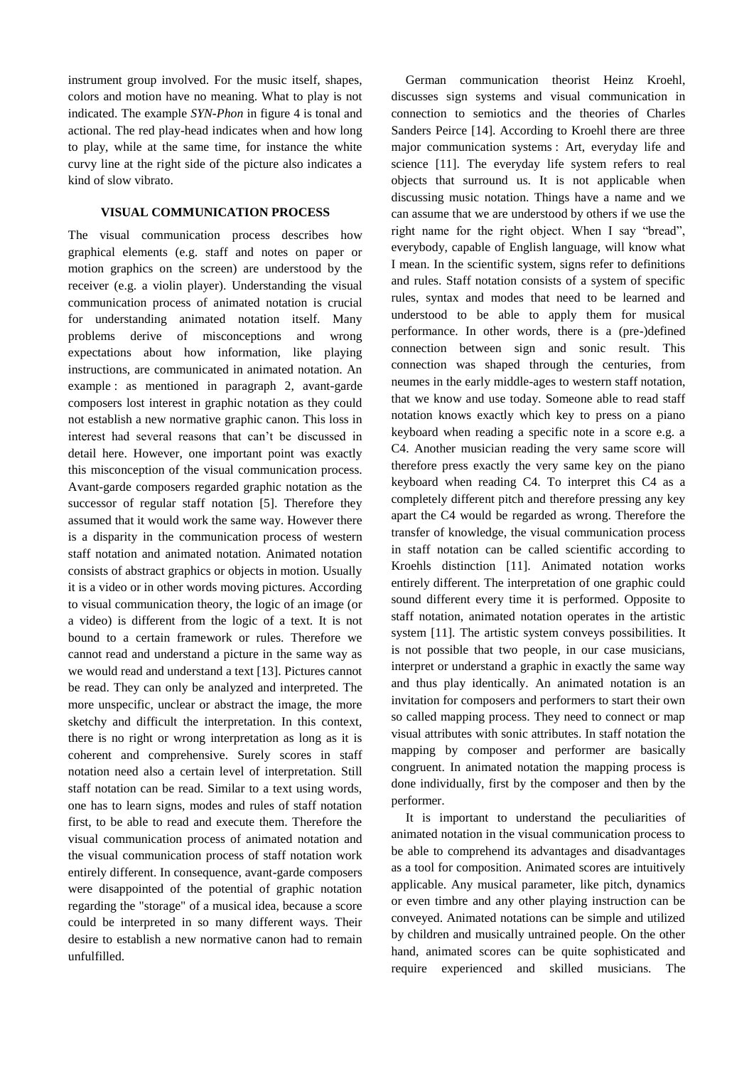instrument group involved. For the music itself, shapes, colors and motion have no meaning. What to play is not indicated. The example *SYN-Phon* in figure 4 is tonal and actional. The red play-head indicates when and how long to play, while at the same time, for instance the white curvy line at the right side of the picture also indicates a kind of slow vibrato.

## **VISUAL COMMUNICATION PROCESS**

The visual communication process describes how graphical elements (e.g. staff and notes on paper or motion graphics on the screen) are understood by the receiver (e.g. a violin player). Understanding the visual communication process of animated notation is crucial for understanding animated notation itself. Many problems derive of misconceptions and wrong expectations about how information, like playing instructions, are communicated in animated notation. An example : as mentioned in paragraph 2, avant-garde composers lost interest in graphic notation as they could not establish a new normative graphic canon. This loss in interest had several reasons that can't be discussed in detail here. However, one important point was exactly this misconception of the visual communication process. Avant-garde composers regarded graphic notation as the successor of regular staff notation [5]. Therefore they assumed that it would work the same way. However there is a disparity in the communication process of western staff notation and animated notation. Animated notation consists of abstract graphics or objects in motion. Usually it is a video or in other words moving pictures. According to visual communication theory, the logic of an image (or a video) is different from the logic of a text. It is not bound to a certain framework or rules. Therefore we cannot read and understand a picture in the same way as we would read and understand a text [13]. Pictures cannot be read. They can only be analyzed and interpreted. The more unspecific, unclear or abstract the image, the more sketchy and difficult the interpretation. In this context, there is no right or wrong interpretation as long as it is coherent and comprehensive. Surely scores in staff notation need also a certain level of interpretation. Still staff notation can be read. Similar to a text using words, one has to learn signs, modes and rules of staff notation first, to be able to read and execute them. Therefore the visual communication process of animated notation and the visual communication process of staff notation work entirely different. In consequence, avant-garde composers were disappointed of the potential of graphic notation regarding the "storage" of a musical idea, because a score could be interpreted in so many different ways. Their desire to establish a new normative canon had to remain unfulfilled.

German communication theorist Heinz Kroehl, discusses sign systems and visual communication in connection to semiotics and the theories of Charles Sanders Peirce [14]. According to Kroehl there are three major communication systems : Art, everyday life and science [11]. The everyday life system refers to real objects that surround us. It is not applicable when discussing music notation. Things have a name and we can assume that we are understood by others if we use the right name for the right object. When I say "bread", everybody, capable of English language, will know what I mean. In the scientific system, signs refer to definitions and rules. Staff notation consists of a system of specific rules, syntax and modes that need to be learned and understood to be able to apply them for musical performance. In other words, there is a (pre-)defined connection between sign and sonic result. This connection was shaped through the centuries, from neumes in the early middle-ages to western staff notation, that we know and use today. Someone able to read staff notation knows exactly which key to press on a piano keyboard when reading a specific note in a score e.g. a C4. Another musician reading the very same score will therefore press exactly the very same key on the piano keyboard when reading C4. To interpret this C4 as a completely different pitch and therefore pressing any key apart the C4 would be regarded as wrong. Therefore the transfer of knowledge, the visual communication process in staff notation can be called scientific according to Kroehls distinction [11]. Animated notation works entirely different. The interpretation of one graphic could sound different every time it is performed. Opposite to staff notation, animated notation operates in the artistic system [11]. The artistic system conveys possibilities. It is not possible that two people, in our case musicians, interpret or understand a graphic in exactly the same way and thus play identically. An animated notation is an invitation for composers and performers to start their own so called mapping process. They need to connect or map visual attributes with sonic attributes. In staff notation the mapping by composer and performer are basically congruent. In animated notation the mapping process is done individually, first by the composer and then by the performer.

It is important to understand the peculiarities of animated notation in the visual communication process to be able to comprehend its advantages and disadvantages as a tool for composition. Animated scores are intuitively applicable. Any musical parameter, like pitch, dynamics or even timbre and any other playing instruction can be conveyed. Animated notations can be simple and utilized by children and musically untrained people. On the other hand, animated scores can be quite sophisticated and require experienced and skilled musicians. The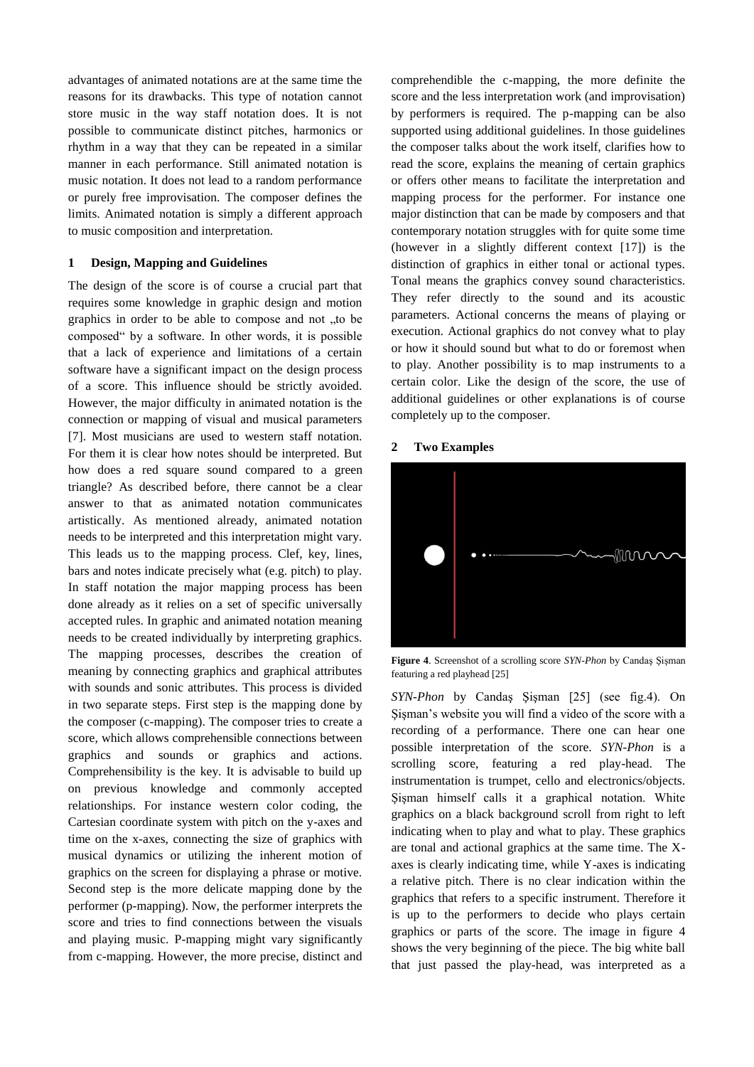advantages of animated notations are at the same time the reasons for its drawbacks. This type of notation cannot store music in the way staff notation does. It is not possible to communicate distinct pitches, harmonics or rhythm in a way that they can be repeated in a similar manner in each performance. Still animated notation is music notation. It does not lead to a random performance or purely free improvisation. The composer defines the limits. Animated notation is simply a different approach to music composition and interpretation.

## **1 Design, Mapping and Guidelines**

The design of the score is of course a crucial part that requires some knowledge in graphic design and motion graphics in order to be able to compose and not "to be composed" by a software. In other words, it is possible that a lack of experience and limitations of a certain software have a significant impact on the design process of a score. This influence should be strictly avoided. However, the major difficulty in animated notation is the connection or mapping of visual and musical parameters [7]. Most musicians are used to western staff notation. For them it is clear how notes should be interpreted. But how does a red square sound compared to a green triangle? As described before, there cannot be a clear answer to that as animated notation communicates artistically. As mentioned already, animated notation needs to be interpreted and this interpretation might vary. This leads us to the mapping process. Clef, key, lines, bars and notes indicate precisely what (e.g. pitch) to play. In staff notation the major mapping process has been done already as it relies on a set of specific universally accepted rules. In graphic and animated notation meaning needs to be created individually by interpreting graphics. The mapping processes, describes the creation of meaning by connecting graphics and graphical attributes with sounds and sonic attributes. This process is divided in two separate steps. First step is the mapping done by the composer (c-mapping). The composer tries to create a score, which allows comprehensible connections between graphics and sounds or graphics and actions. Comprehensibility is the key. It is advisable to build up on previous knowledge and commonly accepted relationships. For instance western color coding, the Cartesian coordinate system with pitch on the y-axes and time on the x-axes, connecting the size of graphics with musical dynamics or utilizing the inherent motion of graphics on the screen for displaying a phrase or motive. Second step is the more delicate mapping done by the performer (p-mapping). Now, the performer interprets the score and tries to find connections between the visuals and playing music. P-mapping might vary significantly from c-mapping. However, the more precise, distinct and

comprehendible the c-mapping, the more definite the score and the less interpretation work (and improvisation) by performers is required. The p-mapping can be also supported using additional guidelines. In those guidelines the composer talks about the work itself, clarifies how to read the score, explains the meaning of certain graphics or offers other means to facilitate the interpretation and mapping process for the performer. For instance one major distinction that can be made by composers and that contemporary notation struggles with for quite some time (however in a slightly different context [17]) is the distinction of graphics in either tonal or actional types. Tonal means the graphics convey sound characteristics. They refer directly to the sound and its acoustic parameters. Actional concerns the means of playing or execution. Actional graphics do not convey what to play or how it should sound but what to do or foremost when to play. Another possibility is to map instruments to a certain color. Like the design of the score, the use of additional guidelines or other explanations is of course completely up to the composer.

## **2 Two Examples**



**Figure 4**. Screenshot of a scrolling score *SYN-Phon* by Candaş Şişman featuring a red playhead [25]

*SYN-Phon* by Candaş Şişman [25] (see fig.4). On Şişman's website you will find a video of the score with a recording of a performance. There one can hear one possible interpretation of the score. *SYN-Phon* is a scrolling score, featuring a red play-head. The instrumentation is trumpet, cello and electronics/objects. Sisman himself calls it a graphical notation. White graphics on a black background scroll from right to left indicating when to play and what to play. These graphics are tonal and actional graphics at the same time. The Xaxes is clearly indicating time, while Y-axes is indicating a relative pitch. There is no clear indication within the graphics that refers to a specific instrument. Therefore it is up to the performers to decide who plays certain graphics or parts of the score. The image in figure 4 shows the very beginning of the piece. The big white ball that just passed the play-head, was interpreted as a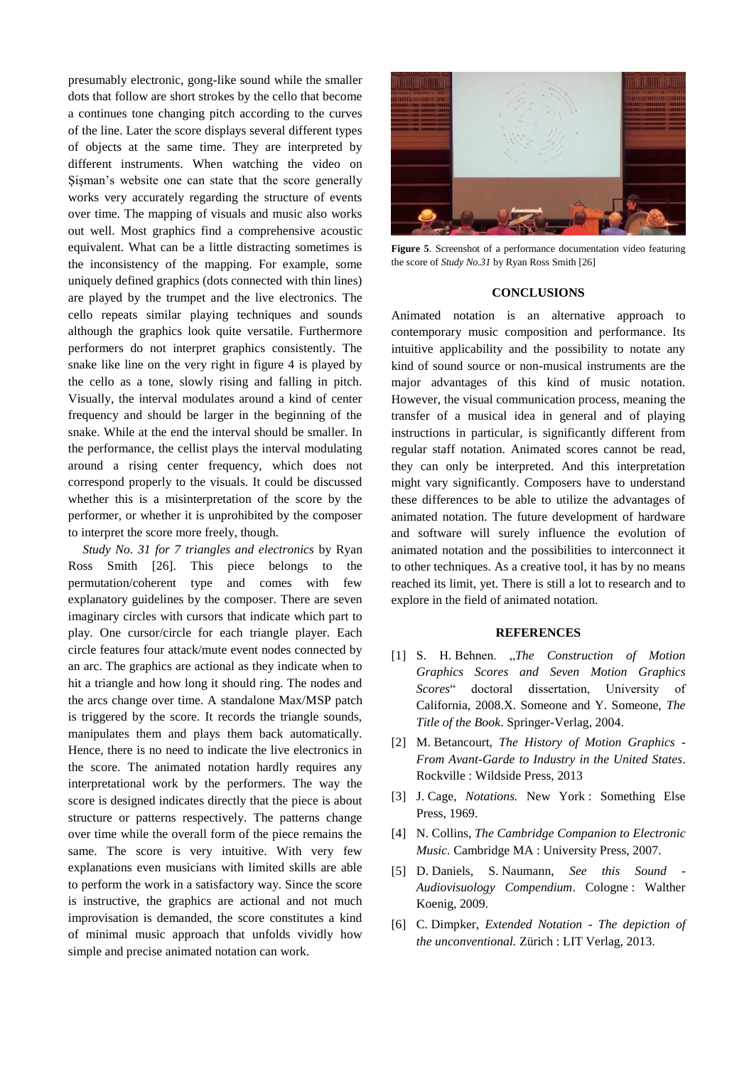presumably electronic, gong-like sound while the smaller dots that follow are short strokes by the cello that become a continues tone changing pitch according to the curves of the line. Later the score displays several different types of objects at the same time. They are interpreted by different instruments. When watching the video on Şişman's website one can state that the score generally works very accurately regarding the structure of events over time. The mapping of visuals and music also works out well. Most graphics find a comprehensive acoustic equivalent. What can be a little distracting sometimes is the inconsistency of the mapping. For example, some uniquely defined graphics (dots connected with thin lines) are played by the trumpet and the live electronics. The cello repeats similar playing techniques and sounds although the graphics look quite versatile. Furthermore performers do not interpret graphics consistently. The snake like line on the very right in figure 4 is played by the cello as a tone, slowly rising and falling in pitch. Visually, the interval modulates around a kind of center frequency and should be larger in the beginning of the snake. While at the end the interval should be smaller. In the performance, the cellist plays the interval modulating around a rising center frequency, which does not correspond properly to the visuals. It could be discussed whether this is a misinterpretation of the score by the performer, or whether it is unprohibited by the composer to interpret the score more freely, though.

*Study No. 31 for 7 triangles and electronics* by Ryan Ross Smith [26]. This piece belongs to the permutation/coherent type and comes with few explanatory guidelines by the composer. There are seven imaginary circles with cursors that indicate which part to play. One cursor/circle for each triangle player. Each circle features four attack/mute event nodes connected by an arc. The graphics are actional as they indicate when to hit a triangle and how long it should ring. The nodes and the arcs change over time. A standalone Max/MSP patch is triggered by the score. It records the triangle sounds, manipulates them and plays them back automatically. Hence, there is no need to indicate the live electronics in the score. The animated notation hardly requires any interpretational work by the performers. The way the score is designed indicates directly that the piece is about structure or patterns respectively. The patterns change over time while the overall form of the piece remains the same. The score is very intuitive. With very few explanations even musicians with limited skills are able to perform the work in a satisfactory way. Since the score is instructive, the graphics are actional and not much improvisation is demanded, the score constitutes a kind of minimal music approach that unfolds vividly how simple and precise animated notation can work.



**Figure 5**. Screenshot of a performance documentation video featuring the score of *Study No.31* by Ryan Ross Smith [26]

#### **CONCLUSIONS**

Animated notation is an alternative approach to contemporary music composition and performance. Its intuitive applicability and the possibility to notate any kind of sound source or non-musical instruments are the major advantages of this kind of music notation. However, the visual communication process, meaning the transfer of a musical idea in general and of playing instructions in particular, is significantly different from regular staff notation. Animated scores cannot be read, they can only be interpreted. And this interpretation might vary significantly. Composers have to understand these differences to be able to utilize the advantages of animated notation. The future development of hardware and software will surely influence the evolution of animated notation and the possibilities to interconnect it to other techniques. As a creative tool, it has by no means reached its limit, yet. There is still a lot to research and to explore in the field of animated notation.

#### **REFERENCES**

- [1] S. H. Behnen. "*The Construction of Motion Graphics Scores and Seven Motion Graphics Scores*" doctoral dissertation, University of California, 2008.X. Someone and Y. Someone, *The Title of the Book*. Springer-Verlag, 2004.
- [2] M. Betancourt, *The History of Motion Graphics - From Avant-Garde to Industry in the United States*. Rockville : Wildside Press, 2013
- [3] J. Cage, *Notations.* New York : Something Else Press, 1969.
- [4] N. Collins, *The Cambridge Companion to Electronic Music.* Cambridge MA : University Press, 2007.
- [5] D. Daniels, S. Naumann, *See this Sound - Audiovisuology Compendium*. Cologne : Walther Koenig, 2009.
- [6] C. Dimpker, *Extended Notation - The depiction of the unconventional.* Zürich : LIT Verlag, 2013.